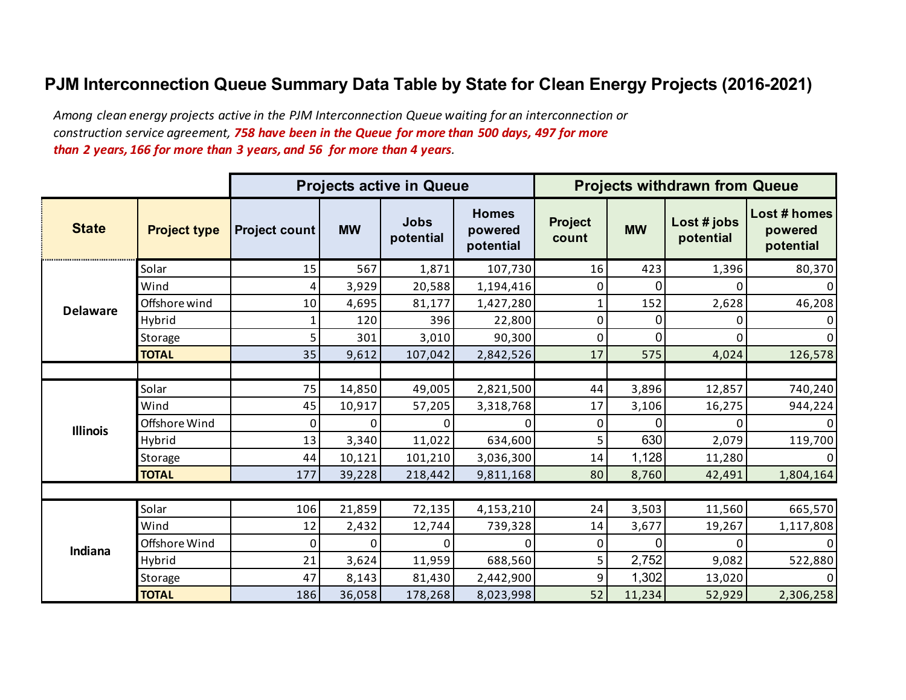## **PJM Interconnection Queue Summary Data Table by State for Clean Energy Projects (2016-2021)**

*Among clean energy projects active in the PJM Interconnection Queue waiting for an interconnection or construction service agreement, 758 have been in the Queue for more than 500 days, 497 for more than 2 years, 166 for more than 3 years, and 56 for more than 4 years.* 

|                 |                     |                      |           | <b>Projects active in Queue</b> |                                      |                         |           | <b>Projects withdrawn from Queue</b> |                                      |
|-----------------|---------------------|----------------------|-----------|---------------------------------|--------------------------------------|-------------------------|-----------|--------------------------------------|--------------------------------------|
| <b>State</b>    | <b>Project type</b> | <b>Project count</b> | <b>MW</b> | <b>Jobs</b><br>potential        | <b>Homes</b><br>powered<br>potential | <b>Project</b><br>count | <b>MW</b> | Lost # jobs<br>potential             | Lost # homes<br>powered<br>potential |
|                 | Solar               | 15                   | 567       | 1,871                           | 107,730                              | 16                      | 423       | 1,396                                | 80,370                               |
|                 | Wind                | 4                    | 3,929     | 20,588                          | 1,194,416                            | 0                       | 0         |                                      | 0                                    |
| <b>Delaware</b> | Offshore wind       | 10                   | 4,695     | 81,177                          | 1,427,280                            | $\mathbf 1$             | 152       | 2,628                                | 46,208                               |
|                 | Hybrid              |                      | 120       | 396                             | 22,800                               | $\pmb{0}$               | 0         | Ω                                    | 0                                    |
|                 | Storage             | 5                    | 301       | 3,010                           | 90,300                               | $\mathbf 0$             | 0         | 0                                    | 0                                    |
|                 | <b>TOTAL</b>        | 35                   | 9,612     | 107,042                         | 2,842,526                            | 17                      | 575       | 4,024                                | 126,578                              |
|                 |                     |                      |           |                                 |                                      |                         |           |                                      |                                      |
|                 | Solar               | 75                   | 14,850    | 49,005                          | 2,821,500                            | 44                      | 3,896     | 12,857                               | 740,240                              |
|                 | Wind                | 45                   | 10,917    | 57,205                          | 3,318,768                            | 17                      | 3,106     | 16,275                               | 944,224                              |
| <b>Illinois</b> | Offshore Wind       | 0                    | 0         |                                 |                                      | 0                       | 0         | U                                    |                                      |
|                 | Hybrid              | 13                   | 3,340     | 11,022                          | 634,600                              | 5                       | 630       | 2,079                                | 119,700                              |
|                 | Storage             | 44                   | 10,121    | 101,210                         | 3,036,300                            | 14                      | 1,128     | 11,280                               | 0                                    |
|                 | <b>TOTAL</b>        | 177                  | 39,228    | 218,442                         | 9,811,168                            | 80                      | 8,760     | 42,491                               | 1,804,164                            |
|                 |                     |                      |           |                                 |                                      |                         |           |                                      |                                      |
|                 | Solar               | 106                  | 21,859    | 72,135                          | 4,153,210                            | 24                      | 3,503     | 11,560                               | 665,570                              |
|                 | Wind                | 12                   | 2,432     | 12,744                          | 739,328                              | 14                      | 3,677     | 19,267                               | 1,117,808                            |
| Indiana         | Offshore Wind       | 0                    | 0         | O                               | $\Omega$                             | 0                       | $\Omega$  | U                                    | 0                                    |
|                 | Hybrid              | 21                   | 3,624     | 11,959                          | 688,560                              | 5                       | 2,752     | 9,082                                | 522,880                              |
|                 | Storage             | 47                   | 8,143     | 81,430                          | 2,442,900                            | 9                       | 1,302     | 13,020                               | 0                                    |
|                 | <b>TOTAL</b>        | 186                  | 36,058    | 178,268                         | 8,023,998                            | 52                      | 11,234    | 52,929                               | 2,306,258                            |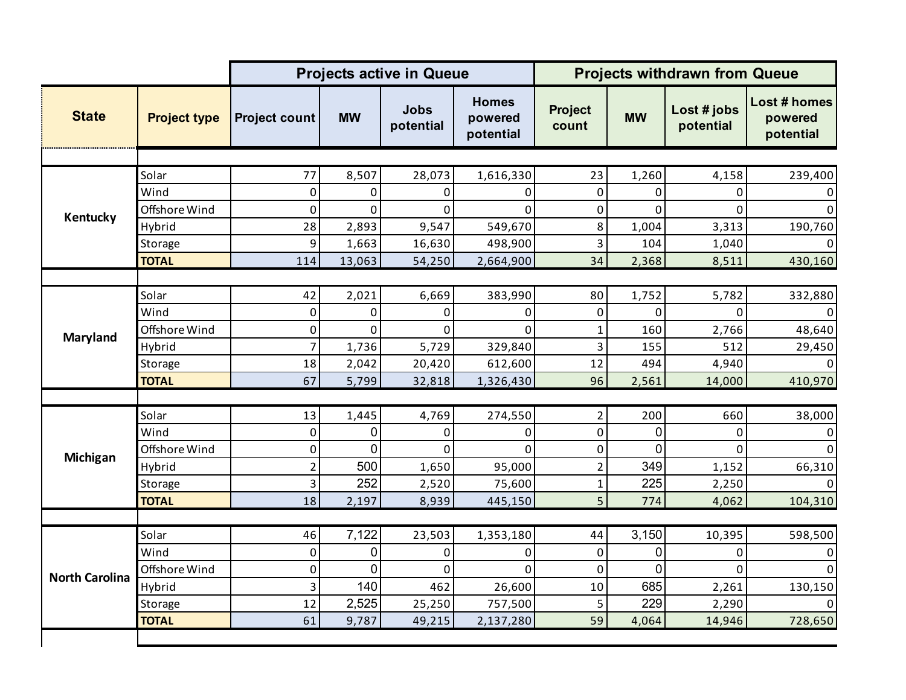|                       |                     |                      | <b>Projects active in Queue</b> |                          | <b>Projects withdrawn from Queue</b> |                         |                |                          |                                      |
|-----------------------|---------------------|----------------------|---------------------------------|--------------------------|--------------------------------------|-------------------------|----------------|--------------------------|--------------------------------------|
| <b>State</b>          | <b>Project type</b> | <b>Project count</b> | <b>MW</b>                       | <b>Jobs</b><br>potential | <b>Homes</b><br>powered<br>potential | <b>Project</b><br>count | <b>MW</b>      | Lost # jobs<br>potential | Lost # homes<br>powered<br>potential |
|                       |                     |                      |                                 |                          |                                      |                         |                |                          |                                      |
| Kentucky              | Solar               | 77                   | 8,507                           | 28,073                   | 1,616,330                            | 23                      | 1,260          | 4,158                    | 239,400                              |
|                       | Wind                | $\mathbf 0$          | 0                               | 0                        | O                                    | 0                       | $\Omega$       | 0                        | 0                                    |
|                       | Offshore Wind       | $\mathbf 0$          | 0                               | $\Omega$                 | $\Omega$                             | $\mathbf 0$             | $\mathbf 0$    | $\Omega$                 | $\mathbf{0}$                         |
|                       | Hybrid              | 28                   | 2,893                           | 9,547                    | 549,670                              | $\,8\,$                 | 1,004          | 3,313                    | 190,760                              |
|                       | Storage             | 9                    | 1,663                           | 16,630                   | 498,900                              | $\mathsf 3$             | 104            | 1,040                    | $\Omega$                             |
|                       | <b>TOTAL</b>        | 114                  | 13,063                          | 54,250                   | 2,664,900                            | 34                      | 2,368          | 8,511                    | 430,160                              |
|                       |                     |                      |                                 |                          |                                      |                         |                |                          |                                      |
|                       | Solar               | 42                   | 2,021                           | 6,669                    | 383,990                              | 80                      | 1,752          | 5,782                    | 332,880                              |
| <b>Maryland</b>       | Wind                | $\pmb{0}$            | 0                               | 0                        | 0                                    | 0                       | $\mathbf 0$    | 0                        | 0                                    |
|                       | Offshore Wind       | $\boldsymbol{0}$     | 0                               | 0                        | $\Omega$                             | 1                       | 160            | 2,766                    | 48,640                               |
|                       | Hybrid              | $\overline{7}$       | 1,736                           | 5,729                    | 329,840                              | 3                       | 155            | 512                      | 29,450                               |
|                       | Storage             | 18                   | 2,042                           | 20,420                   | 612,600                              | 12                      | 494            | 4,940                    | $\Omega$                             |
|                       | <b>TOTAL</b>        | 67                   | 5,799                           | 32,818                   | 1,326,430                            | 96                      | 2,561          | 14,000                   | 410,970                              |
|                       |                     |                      |                                 |                          |                                      |                         |                |                          |                                      |
|                       | Solar               | 13                   | 1,445                           | 4,769                    | 274,550                              | $\mathbf 2$             | 200            | 660                      | 38,000                               |
|                       | Wind                | $\pmb{0}$            | 0                               | 0                        | 0                                    | $\mathbf 0$             | $\mathbf 0$    | 0                        | 0                                    |
| Michigan              | Offshore Wind       | $\boldsymbol{0}$     | 0                               | 0                        | $\Omega$                             | $\pmb{0}$               | $\Omega$       | $\Omega$                 | $\Omega$                             |
|                       | Hybrid              | $\overline{2}$       | 500                             | 1,650                    | 95,000                               | $\overline{2}$          | 349            | 1,152                    | 66,310                               |
|                       | Storage             | 3                    | 252                             | 2,520                    | 75,600                               | $\mathbf 1$             | 225            | 2,250                    | 0                                    |
|                       | <b>TOTAL</b>        | 18                   | 2,197                           | 8,939                    | 445,150                              | 5                       | 774            | 4,062                    | 104,310                              |
|                       |                     |                      |                                 |                          |                                      |                         |                |                          |                                      |
|                       | Solar               | 46                   | 7,122                           | 23,503                   | 1,353,180                            | 44                      | 3,150          | 10,395                   | 598,500                              |
|                       | Wind                | $\mathbf 0$          | 0                               | 0                        | $\Omega$                             | $\mathbf 0$             | 0              | 0                        | $\mathbf{0}$                         |
|                       | Offshore Wind       | $\mathbf 0$          | $\overline{0}$                  | $\Omega$                 | $\Omega$                             | 0                       | $\overline{0}$ | $\Omega$                 | $\Omega$                             |
| <b>North Carolina</b> | Hybrid              | 3                    | 140                             | 462                      | 26,600                               | 10                      | 685            | 2,261                    | 130,150                              |
|                       | Storage             | 12                   | 2,525                           | 25,250                   | 757,500                              | 5                       | 229            | 2,290                    |                                      |
|                       | <b>TOTAL</b>        | 61                   | 9,787                           | 49,215                   | 2,137,280                            | 59                      | 4,064          | 14,946                   | 728,650                              |
|                       |                     |                      |                                 |                          |                                      |                         |                |                          |                                      |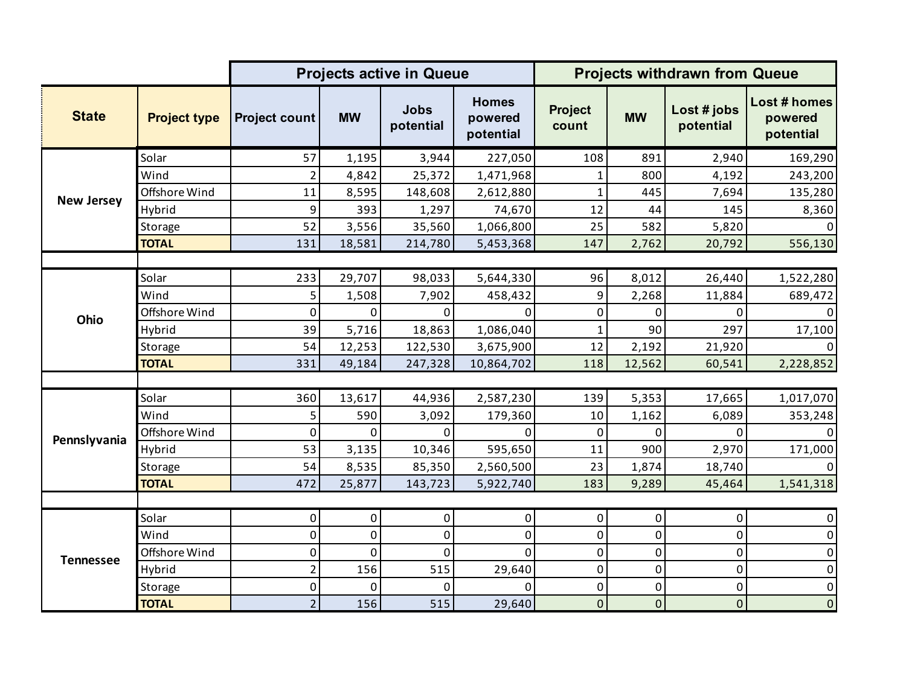|                   |                     |                      |           | <b>Projects active in Queue</b> |                                      | <b>Projects withdrawn from Queue</b> |             |                          |                                      |
|-------------------|---------------------|----------------------|-----------|---------------------------------|--------------------------------------|--------------------------------------|-------------|--------------------------|--------------------------------------|
| <b>State</b>      | <b>Project type</b> | <b>Project count</b> | <b>MW</b> | <b>Jobs</b><br>potential        | <b>Homes</b><br>powered<br>potential | <b>Project</b><br>count              | <b>MW</b>   | Lost # jobs<br>potential | Lost # homes<br>powered<br>potential |
|                   | Solar               | 57                   | 1,195     | 3,944                           | 227,050                              | 108                                  | 891         | 2,940                    | 169,290                              |
|                   | Wind                | $\overline{2}$       | 4,842     | 25,372                          | 1,471,968                            | $\mathbf{1}$                         | 800         | 4,192                    | 243,200                              |
| <b>New Jersey</b> | Offshore Wind       | 11                   | 8,595     | 148,608                         | 2,612,880                            | $\mathbf 1$                          | 445         | 7,694                    | 135,280                              |
|                   | Hybrid              | 9                    | 393       | 1,297                           | 74,670                               | 12                                   | 44          | 145                      | 8,360                                |
|                   | Storage             | 52                   | 3,556     | 35,560                          | 1,066,800                            | 25                                   | 582         | 5,820                    | 0                                    |
|                   | <b>TOTAL</b>        | 131                  | 18,581    | 214,780                         | 5,453,368                            | 147                                  | 2,762       | 20,792                   | 556,130                              |
|                   |                     |                      |           |                                 |                                      |                                      |             |                          |                                      |
|                   | Solar               | 233                  | 29,707    | 98,033                          | 5,644,330                            | 96                                   | 8,012       | 26,440                   | 1,522,280                            |
|                   | Wind                | 5                    | 1,508     | 7,902                           | 458,432                              | 9                                    | 2,268       | 11,884                   | 689,472                              |
| Ohio              | Offshore Wind       | 0                    | 0         | 0                               | $\mathbf{0}$                         | $\pmb{0}$                            | 0           | 0                        | 0                                    |
|                   | Hybrid              | 39                   | 5,716     | 18,863                          | 1,086,040                            | $\mathbf 1$                          | 90          | 297                      | 17,100                               |
|                   | Storage             | 54                   | 12,253    | 122,530                         | 3,675,900                            | 12                                   | 2,192       | 21,920                   | 0                                    |
|                   | <b>TOTAL</b>        | 331                  | 49,184    | 247,328                         | 10,864,702                           | 118                                  | 12,562      | 60,541                   | 2,228,852                            |
|                   |                     |                      |           |                                 |                                      |                                      |             |                          |                                      |
|                   | Solar               | 360                  | 13,617    | 44,936                          | 2,587,230                            | 139                                  | 5,353       | 17,665                   | 1,017,070                            |
|                   | Wind                | 5                    | 590       | 3,092                           | 179,360                              | 10                                   | 1,162       | 6,089                    | 353,248                              |
| Pennslyvania      | Offshore Wind       | 0                    | 0         | $\Omega$                        | $\Omega$                             | $\pmb{0}$                            | $\Omega$    | 0                        | 0                                    |
|                   | Hybrid              | 53                   | 3,135     | 10,346                          | 595,650                              | 11                                   | 900         | 2,970                    | 171,000                              |
|                   | Storage             | 54                   | 8,535     | 85,350                          | 2,560,500                            | 23                                   | 1,874       | 18,740                   |                                      |
|                   | <b>TOTAL</b>        | 472                  | 25,877    | 143,723                         | 5,922,740                            | 183                                  | 9,289       | 45,464                   | 1,541,318                            |
|                   |                     |                      |           |                                 |                                      |                                      |             |                          |                                      |
|                   | Solar               | 0                    | 0         | 0                               | $\overline{0}$                       | $\pmb{0}$                            | $\pmb{0}$   | 0                        | 0                                    |
|                   | Wind                | 0                    | 0         | 0                               | 0                                    | $\pmb{0}$                            | 0           | 0                        | $\pmb{0}$                            |
| <b>Tennessee</b>  | Offshore Wind       | 0                    | 0         | $\overline{0}$                  | $\Omega$                             | $\mathbf 0$                          | 0           | $\mathbf 0$              | 0                                    |
|                   | Hybrid              | $\overline{c}$       | 156       | 515                             | 29,640                               | $\pmb{0}$                            | $\pmb{0}$   | $\pmb{0}$                | $\pmb{0}$                            |
|                   | Storage             | 0                    | 0         | O                               | $\Omega$                             | $\pmb{0}$                            | $\pmb{0}$   | $\mathbf 0$              | $\pmb{0}$                            |
|                   | <b>TOTAL</b>        | $\overline{2}$       | 156       | 515                             | 29,640                               | $\mathbf 0$                          | $\mathbf 0$ | $\mathbf 0$              | $\pmb{0}$                            |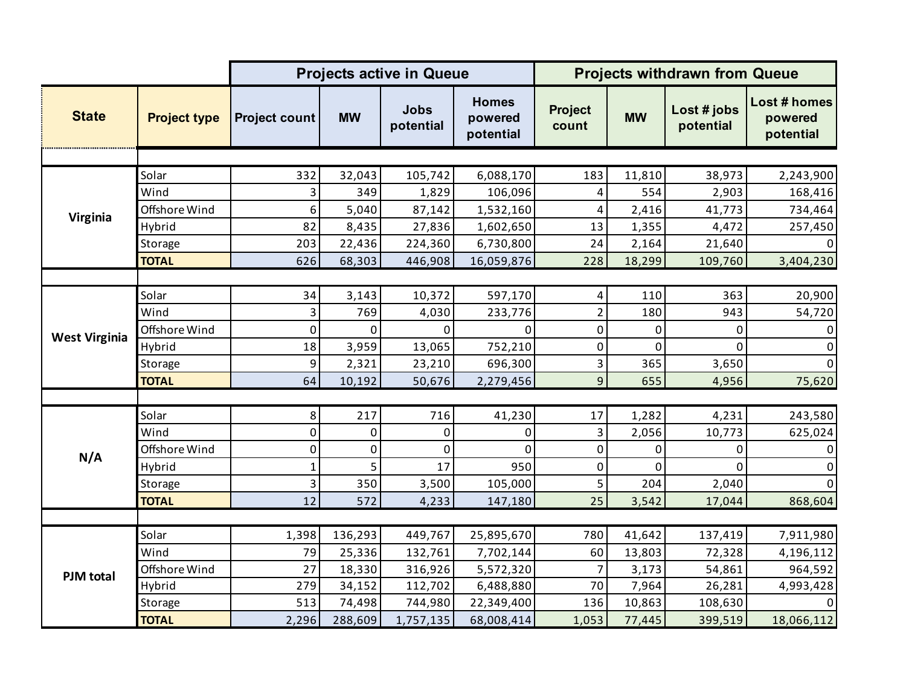|                      |                     |                      |              | <b>Projects active in Queue</b> |                                      | <b>Projects withdrawn from Queue</b> |           |                          |                                      |
|----------------------|---------------------|----------------------|--------------|---------------------------------|--------------------------------------|--------------------------------------|-----------|--------------------------|--------------------------------------|
| <b>State</b>         | <b>Project type</b> | <b>Project count</b> | <b>MW</b>    | <b>Jobs</b><br>potential        | <b>Homes</b><br>powered<br>potential | <b>Project</b><br>count              | <b>MW</b> | Lost # jobs<br>potential | Lost # homes<br>powered<br>potential |
|                      |                     |                      |              |                                 |                                      |                                      |           |                          |                                      |
| Virginia             | Solar               | 332                  | 32,043       | 105,742                         | 6,088,170                            | 183                                  | 11,810    | 38,973                   | 2,243,900                            |
|                      | Wind                | 3                    | 349          | 1,829                           | 106,096                              | 4                                    | 554       | 2,903                    | 168,416                              |
|                      | Offshore Wind       | 6                    | 5,040        | 87,142                          | 1,532,160                            | 4                                    | 2,416     | 41,773                   | 734,464                              |
|                      | Hybrid              | 82                   | 8,435        | 27,836                          | 1,602,650                            | 13                                   | 1,355     | 4,472                    | 257,450                              |
|                      | Storage             | 203                  | 22,436       | 224,360                         | 6,730,800                            | 24                                   | 2,164     | 21,640                   | $\Omega$                             |
|                      | <b>TOTAL</b>        | 626                  | 68,303       | 446,908                         | 16,059,876                           | 228                                  | 18,299    | 109,760                  | 3,404,230                            |
|                      |                     |                      |              |                                 |                                      |                                      |           |                          |                                      |
|                      | Solar               | 34                   | 3,143        | 10,372                          | 597,170                              | 4                                    | 110       | 363                      | 20,900                               |
|                      | Wind                | 3                    | 769          | 4,030                           | 233,776                              | $\overline{2}$                       | 180       | 943                      | 54,720                               |
| <b>West Virginia</b> | Offshore Wind       | 0                    | $\mathbf{0}$ | 0                               | $\Omega$                             | $\pmb{0}$                            | 0         | 0                        | 0                                    |
|                      | Hybrid              | 18                   | 3,959        | 13,065                          | 752,210                              | $\pmb{0}$                            | 0         | $\Omega$                 | 0                                    |
|                      | Storage             | 9                    | 2,321        | 23,210                          | 696,300                              | 3                                    | 365       | 3,650                    | $\mathbf{0}$                         |
|                      | <b>TOTAL</b>        | 64                   | 10,192       | 50,676                          | 2,279,456                            | 9                                    | 655       | 4,956                    | 75,620                               |
|                      |                     |                      |              |                                 |                                      |                                      |           |                          |                                      |
|                      | Solar               | 8                    | 217          | 716                             | 41,230                               | 17                                   | 1,282     | 4,231                    | 243,580                              |
|                      | Wind                | 0                    | $\mathbf 0$  | 0                               | $\Omega$                             | 3                                    | 2,056     | 10,773                   | 625,024                              |
|                      | Offshore Wind       | 0                    | 0            | 0                               | $\Omega$                             | $\pmb{0}$                            | 0         | 0                        | 0                                    |
| N/A                  | Hybrid              | $\mathbf{1}$         | 5            | 17                              | 950                                  | $\pmb{0}$                            | 0         | 0                        | 0                                    |
|                      | Storage             | 3                    | 350          | 3,500                           | 105,000                              | 5                                    | 204       | 2,040                    | $\Omega$                             |
|                      | <b>TOTAL</b>        | 12                   | 572          | 4,233                           | 147,180                              | 25                                   | 3,542     | 17,044                   | 868,604                              |
|                      |                     |                      |              |                                 |                                      |                                      |           |                          |                                      |
|                      | Solar               | 1,398                | 136,293      | 449,767                         | 25,895,670                           | 780                                  | 41,642    | 137,419                  | 7,911,980                            |
|                      | Wind                | 79                   | 25,336       | 132,761                         | 7,702,144                            | 60                                   | 13,803    | 72,328                   | 4,196,112                            |
| <b>PJM</b> total     | Offshore Wind       | 27                   | 18,330       | 316,926                         | 5,572,320                            | $\overline{7}$                       | 3,173     | 54,861                   | 964,592                              |
|                      | Hybrid              | 279                  | 34,152       | 112,702                         | 6,488,880                            | 70                                   | 7,964     | 26,281                   | 4,993,428                            |
|                      | Storage             | 513                  | 74,498       | 744,980                         | 22,349,400                           | 136                                  | 10,863    | 108,630                  | 0                                    |
|                      | <b>TOTAL</b>        | 2,296                | 288,609      | 1,757,135                       | 68,008,414                           | 1,053                                | 77,445    | 399,519                  | 18,066,112                           |